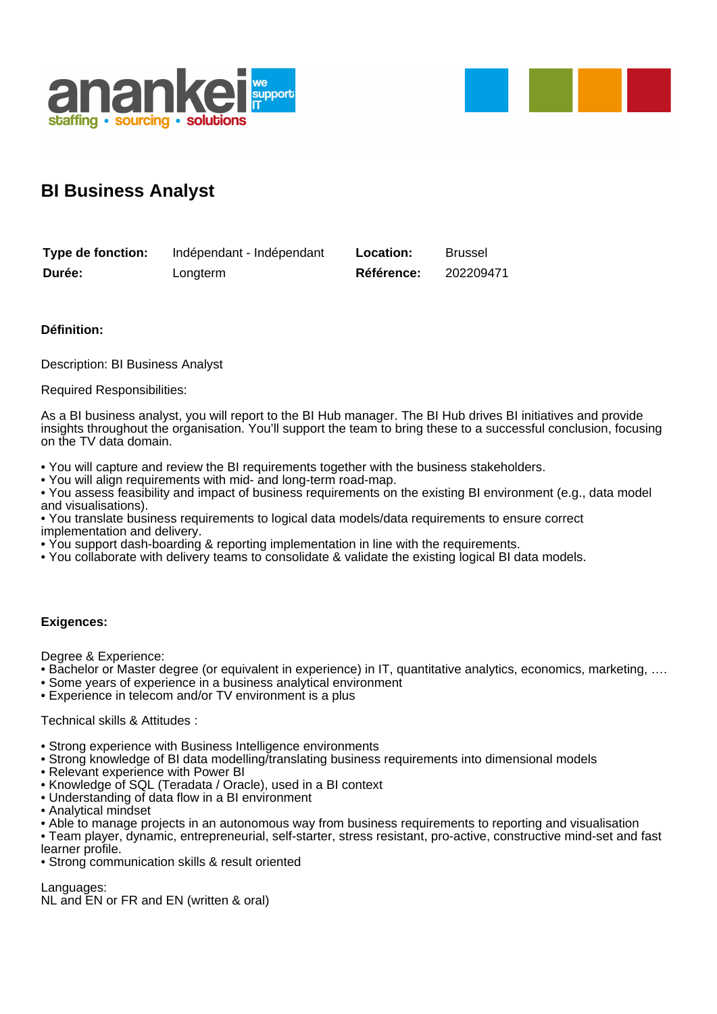



## **BI Business Analyst**

| Type de fonction: | Indépendant - Indépendant | Location:  | <b>Brussel</b> |
|-------------------|---------------------------|------------|----------------|
| Durée:            | Longterm                  | Référence: | 202209471      |

## **Définition:**

Description: BI Business Analyst

Required Responsibilities:

As a BI business analyst, you will report to the BI Hub manager. The BI Hub drives BI initiatives and provide insights throughout the organisation. You'll support the team to bring these to a successful conclusion, focusing on the TV data domain.

• You will capture and review the BI requirements together with the business stakeholders.

• You will align requirements with mid- and long-term road-map.

• You assess feasibility and impact of business requirements on the existing BI environment (e.g., data model and visualisations).

• You translate business requirements to logical data models/data requirements to ensure correct implementation and delivery.

- You support dash-boarding & reporting implementation in line with the requirements.
- You collaborate with delivery teams to consolidate & validate the existing logical BI data models.

## **Exigences:**

Degree & Experience:

• Bachelor or Master degree (or equivalent in experience) in IT, quantitative analytics, economics, marketing, ….

- Some years of experience in a business analytical environment
- Experience in telecom and/or TV environment is a plus

## Technical skills & Attitudes :

- Strong experience with Business Intelligence environments
- Strong knowledge of BI data modelling/translating business requirements into dimensional models
- Relevant experience with Power BI
- Knowledge of SQL (Teradata / Oracle), used in a BI context
- Understanding of data flow in a BI environment
- Analytical mindset

• Able to manage projects in an autonomous way from business requirements to reporting and visualisation

• Team player, dynamic, entrepreneurial, self-starter, stress resistant, pro-active, constructive mind-set and fast learner profile.

• Strong communication skills & result oriented

Languages:

NL and EN or FR and EN (written & oral)